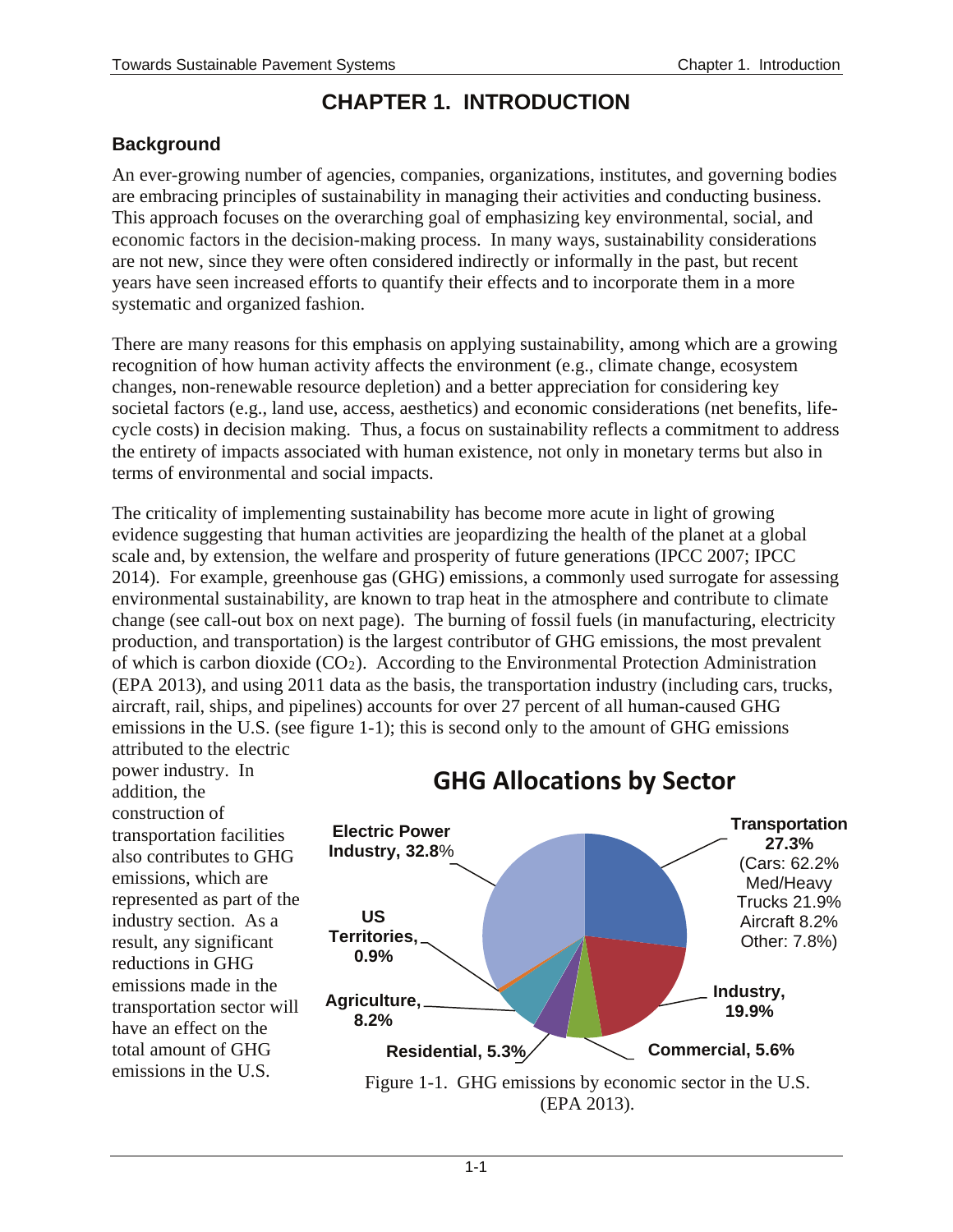## **CHAPTER 1. INTRODUCTION**

### **Background**

An ever-growing number of agencies, companies, organizations, institutes, and governing bodies are embracing principles of sustainability in managing their activities and conducting business. This approach focuses on the overarching goal of emphasizing key environmental, social, and economic factors in the decision-making process. In many ways, sustainability considerations are not new, since they were often considered indirectly or informally in the past, but recent years have seen increased efforts to quantify their effects and to incorporate them in a more systematic and organized fashion.

There are many reasons for this emphasis on applying sustainability, among which are a growing recognition of how human activity affects the environment (e.g., climate change, ecosystem changes, non-renewable resource depletion) and a better appreciation for considering key societal factors (e.g., land use, access, aesthetics) and economic considerations (net benefits, lifecycle costs) in decision making. Thus, a focus on sustainability reflects a commitment to address the entirety of impacts associated with human existence, not only in monetary terms but also in terms of environmental and social impacts.

The criticality of implementing sustainability has become more acute in light of growing evidence suggesting that human activities are jeopardizing the health of the planet at a global scale and, by extension, the welfare and prosperity of future generations (IPCC 2007; IPCC 2014). For example, greenhouse gas (GHG) emissions, a commonly used surrogate for assessing environmental sustainability, are known to trap heat in the atmosphere and contribute to climate change (see call-out box on next page). The burning of fossil fuels (in manufacturing, electricity production, and transportation) is the largest contributor of GHG emissions, the most prevalent of which is carbon dioxide (CO2). According to the Environmental Protection Administration (EPA 2013), and using 2011 data as the basis, the transportation industry (including cars, trucks, aircraft, rail, ships, and pipelines) accounts for over 27 percent of all human-caused GHG emissions in the U.S. (see figure 1-1); this is second only to the amount of GHG emissions attributed to the electric

power industry. In addition, the construction of transportation facilities also contributes to GHG emissions, which are represented as part of the industry section. As a result, any significant reductions in GHG emissions made in the transportation sector will have an effect on the total amount of GHG



# **GHG Allocations by Sector**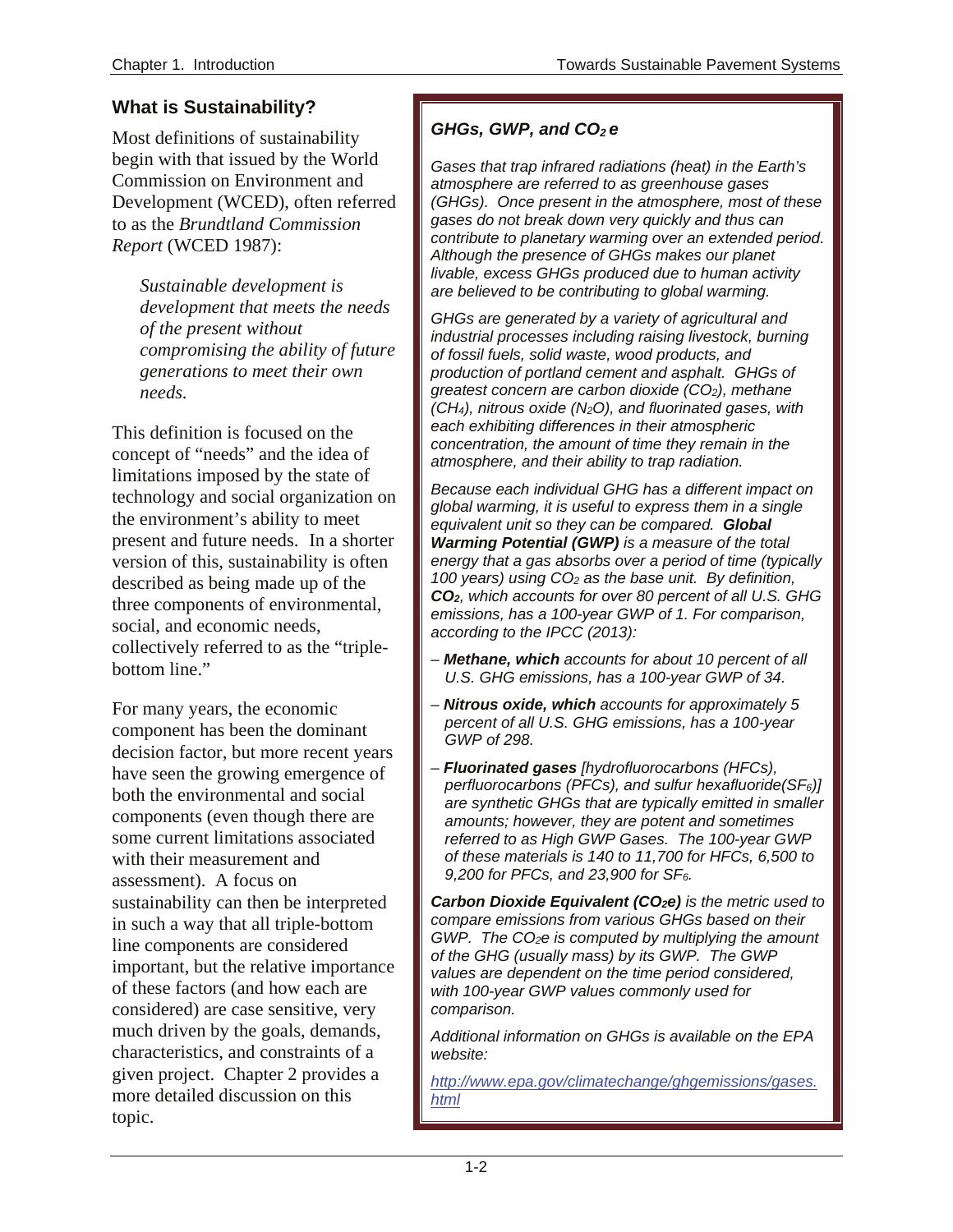### **What is Sustainability?**

Most definitions of sustainability begin with that issued by the World Commission on Environment and Development (WCED), often referred to as the *Brundtland Commission Report* (WCED 1987):

*Sustainable development is development that meets the needs of the present without compromising the ability of future generations to meet their own needs.* 

This definition is focused on the concept of "needs" and the idea of limitations imposed by the state of technology and social organization on the environment's ability to meet present and future needs. In a shorter version of this, sustainability is often described as being made up of the three components of environmental, social, and economic needs, collectively referred to as the "triplebottom line."

For many years, the economic component has been the dominant decision factor, but more recent years have seen the growing emergence of both the environmental and social components (even though there are some current limitations associated with their measurement and assessment). A focus on sustainability can then be interpreted in such a way that all triple-bottom line components are considered important, but the relative importance of these factors (and how each are considered) are case sensitive, very much driven by the goals, demands, characteristics, and constraints of a given project. Chapter 2 provides a more detailed discussion on this topic.

### *GHGs, GWP, and CO2 e*

*Gases that trap infrared radiations (heat) in the Earth's atmosphere are referred to as greenhouse gases (GHGs). Once present in the atmosphere, most of these gases do not break down very quickly and thus can contribute to planetary warming over an extended period. Although the presence of GHGs makes our planet livable, excess GHGs produced due to human activity are believed to be contributing to global warming.*

*GHGs are generated by a variety of agricultural and industrial processes including raising livestock, burning of fossil fuels, solid waste, wood products, and production of portland cement and asphalt. GHGs of greatest concern are carbon dioxide (CO2), methane (CH4), nitrous oxide (N2O), and fluorinated gases, with each exhibiting differences in their atmospheric concentration, the amount of time they remain in the atmosphere, and their ability to trap radiation.* 

*Because each individual GHG has a different impact on global warming, it is useful to express them in a single equivalent unit so they can be compared. Global Warming Potential (GWP) is a measure of the total energy that a gas absorbs over a period of time (typically 100 years) using CO2 as the base unit. By definition, CO2, which accounts for over 80 percent of all U.S. GHG emissions, has a 100-year GWP of 1. For comparison, according to the IPCC (2013):* 

- *Methane, which accounts for about 10 percent of all U.S. GHG emissions, has a 100-year GWP of 34.*
- *Nitrous oxide, which accounts for approximately 5 percent of all U.S. GHG emissions, has a 100-year GWP of 298.*
- *Fluorinated gases [hydrofluorocarbons (HFCs), perfluorocarbons (PFCs), and sulfur hexafluoride(SF6)] are synthetic GHGs that are typically emitted in smaller amounts; however, they are potent and sometimes referred to as High GWP Gases. The 100-year GWP of these materials is 140 to 11,700 for HFCs, 6,500 to 9,200 for PFCs, and 23,900 for SF6.*

*Carbon Dioxide Equivalent (CO2e) is the metric used to compare emissions from various GHGs based on their GWP. The CO2e is computed by multiplying the amount of the GHG (usually mass) by its GWP. The GWP values are dependent on the time period considered, with 100-year GWP values commonly used for comparison.*

*Additional information on GHGs is available on the EPA website:* 

*[http://www.epa.gov/climatechange/ghgemissions/gases.](http://www.epa.gov/climatechange/ghgemissions/gases.html) [html](http://www.epa.gov/climatechange/ghgemissions/gases.html)*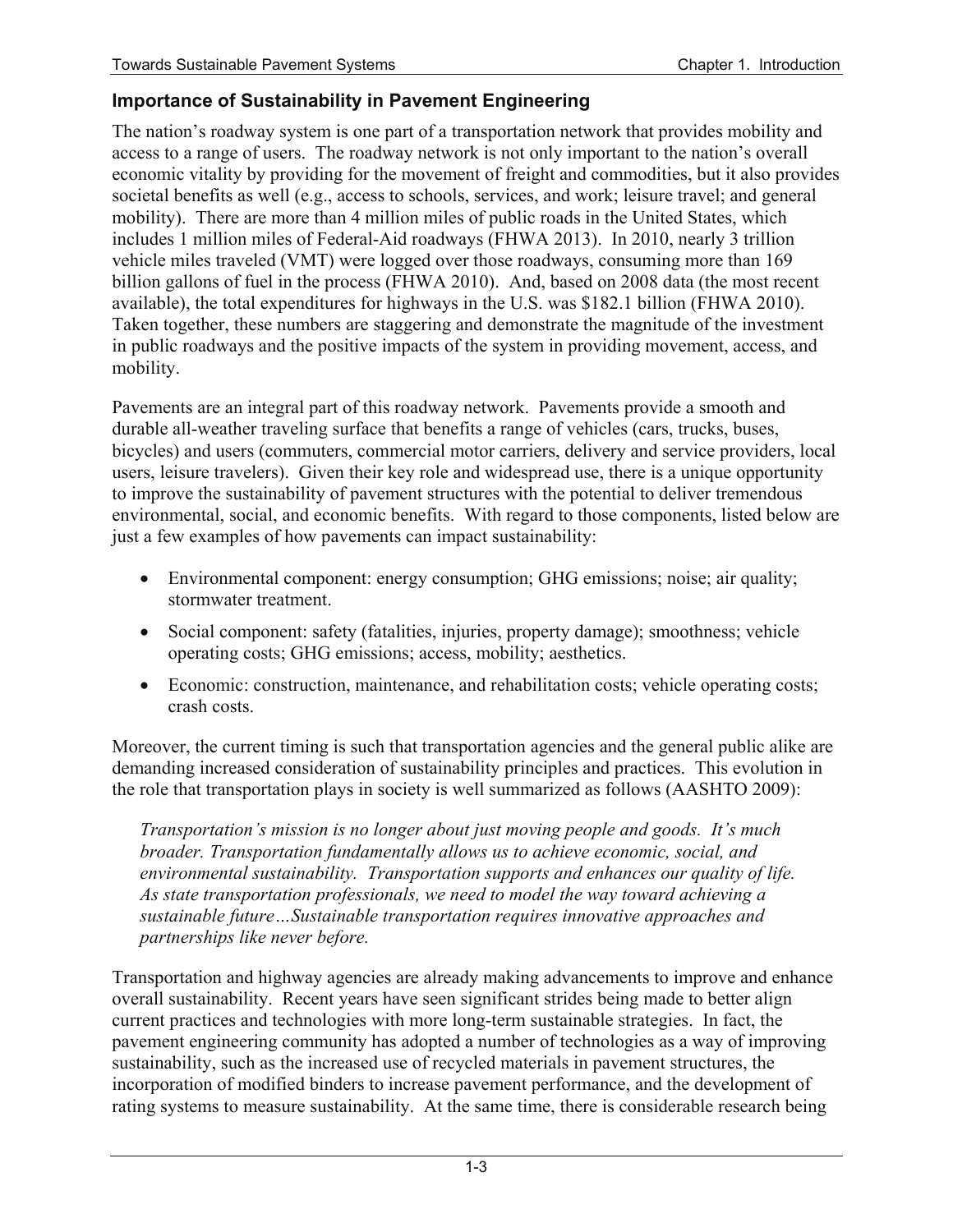#### **Importance of Sustainability in Pavement Engineering**

 The nation's roadway system is one part of a transportation network that provides mobility and societal benefits as well (e.g., access to schools, services, and work; leisure travel; and general billion gallons of fuel in the process (FHWA 2010). And, based on 2008 data (the most recent in public roadways and the positive impacts of the system in providing movement, access, and mobility. access to a range of users. The roadway network is not only important to the nation's overall economic vitality by providing for the movement of freight and commodities, but it also provides mobility). There are more than 4 million miles of public roads in the United States, which includes 1 million miles of Federal-Aid roadways (FHWA 2013). In 2010, nearly 3 trillion vehicle miles traveled (VMT) were logged over those roadways, consuming more than 169 available), the total expenditures for highways in the U.S. was \$182.1 billion (FHWA 2010). Taken together, these numbers are staggering and demonstrate the magnitude of the investment

 users, leisure travelers). Given their key role and widespread use, there is a unique opportunity to improve the sustainability of pavement structures with the potential to deliver tremendous Pavements are an integral part of this roadway network. Pavements provide a smooth and durable all-weather traveling surface that benefits a range of vehicles (cars, trucks, buses, bicycles) and users (commuters, commercial motor carriers, delivery and service providers, local environmental, social, and economic benefits. With regard to those components, listed below are just a few examples of how pavements can impact sustainability:

- Environmental component: energy consumption; GHG emissions; noise; air quality; stormwater treatment.
- Social component: safety (fatalities, injuries, property damage); smoothness; vehicle operating costs; GHG emissions; access, mobility; aesthetics.
- crash costs. • Economic: construction, maintenance, and rehabilitation costs; vehicle operating costs;

 demanding increased consideration of sustainability principles and practices. This evolution in the role that transportation plays in society is well summarized as follows (AASHTO 2009): Moreover, the current timing is such that transportation agencies and the general public alike are

 *environmental sustainability. Transportation supports and enhances our quality of life. Transportation's mission is no longer about just moving people and goods. It's much broader. Transportation fundamentally allows us to achieve economic, social, and As state transportation professionals, we need to model the way toward achieving a sustainable future…Sustainable transportation requires innovative approaches and partnerships like never before.* 

 Transportation and highway agencies are already making advancements to improve and enhance current practices and technologies with more long-term sustainable strategies. In fact, the pavement engineering community has adopted a number of technologies as a way of improving overall sustainability. Recent years have seen significant strides being made to better align sustainability, such as the increased use of recycled materials in pavement structures, the incorporation of modified binders to increase pavement performance, and the development of rating systems to measure sustainability. At the same time, there is considerable research being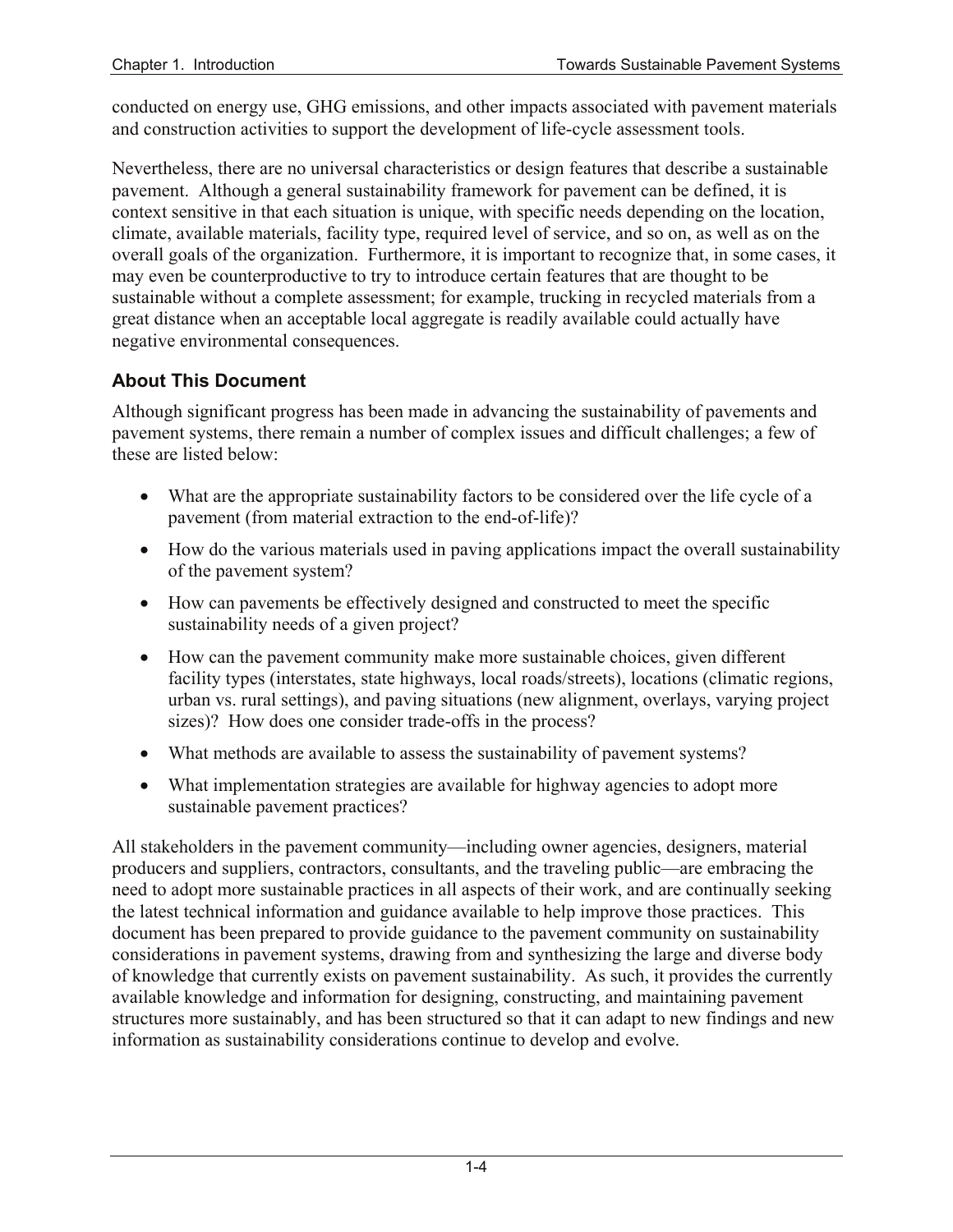conducted on energy use, GHG emissions, and other impacts associated with pavement materials and construction activities to support the development of life-cycle assessment tools.

 sustainable without a complete assessment; for example, trucking in recycled materials from a Nevertheless, there are no universal characteristics or design features that describe a sustainable pavement. Although a general sustainability framework for pavement can be defined, it is context sensitive in that each situation is unique, with specific needs depending on the location, climate, available materials, facility type, required level of service, and so on, as well as on the overall goals of the organization. Furthermore, it is important to recognize that, in some cases, it may even be counterproductive to try to introduce certain features that are thought to be great distance when an acceptable local aggregate is readily available could actually have negative environmental consequences.

### **About This Document**

Although significant progress has been made in advancing the sustainability of pavements and pavement systems, there remain a number of complex issues and difficult challenges; a few of these are listed below:

- What are the appropriate sustainability factors to be considered over the life cycle of a pavement (from material extraction to the end-of-life)?
- How do the various materials used in paving applications impact the overall sustainability of the pavement system?
- How can pavements be effectively designed and constructed to meet the specific sustainability needs of a given project?
- sizes)? How does one consider trade-offs in the process? • How can the pavement community make more sustainable choices, given different facility types (interstates, state highways, local roads/streets), locations (climatic regions, urban vs. rural settings), and paving situations (new alignment, overlays, varying project
- What methods are available to assess the sustainability of pavement systems?
- sustainable pavement practices? • What implementation strategies are available for highway agencies to adopt more

 of knowledge that currently exists on pavement sustainability. As such, it provides the currently All stakeholders in the pavement community—including owner agencies, designers, material producers and suppliers, contractors, consultants, and the traveling public—are embracing the need to adopt more sustainable practices in all aspects of their work, and are continually seeking the latest technical information and guidance available to help improve those practices. This document has been prepared to provide guidance to the pavement community on sustainability considerations in pavement systems, drawing from and synthesizing the large and diverse body available knowledge and information for designing, constructing, and maintaining pavement structures more sustainably, and has been structured so that it can adapt to new findings and new information as sustainability considerations continue to develop and evolve.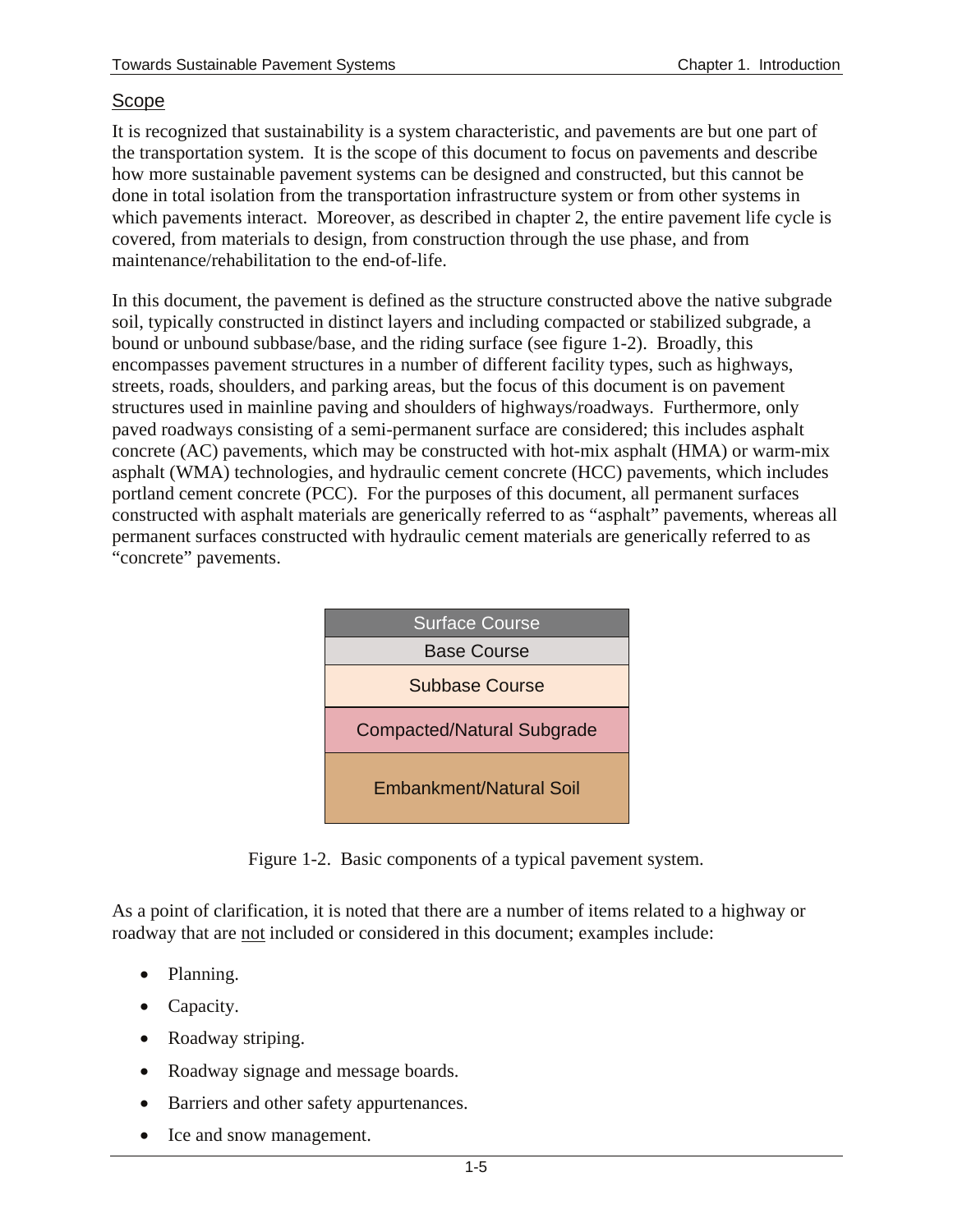#### Scope

It is recognized that sustainability is a system characteristic, and pavements are but one part of the transportation system. It is the scope of this document to focus on pavements and describe how more sustainable pavement systems can be designed and constructed, but this cannot be done in total isolation from the transportation infrastructure system or from other systems in which pavements interact. Moreover, as described in chapter 2, the entire pavement life cycle is covered, from materials to design, from construction through the use phase, and from maintenance/rehabilitation to the end-of-life.

In this document, the pavement is defined as the structure constructed above the native subgrade soil, typically constructed in distinct layers and including compacted or stabilized subgrade, a bound or unbound subbase/base, and the riding surface (see figure 1-2). Broadly, this encompasses pavement structures in a number of different facility types, such as highways, streets, roads, shoulders, and parking areas, but the focus of this document is on pavement structures used in mainline paving and shoulders of highways/roadways. Furthermore, only paved roadways consisting of a semi-permanent surface are considered; this includes asphalt concrete (AC) pavements, which may be constructed with hot-mix asphalt (HMA) or warm-mix asphalt (WMA) technologies, and hydraulic cement concrete (HCC) pavements, which includes portland cement concrete (PCC). For the purposes of this document, all permanent surfaces constructed with asphalt materials are generically referred to as "asphalt" pavements, whereas all permanent surfaces constructed with hydraulic cement materials are generically referred to as "concrete" pavements.



Figure 1-2. Basic components of a typical pavement system.

As a point of clarification, it is noted that there are a number of items related to a highway or roadway that are not included or considered in this document; examples include:

- Planning.
- Capacity.
- Roadway striping.
- Roadway signage and message boards.
- Barriers and other safety appurtenances.
- Ice and snow management.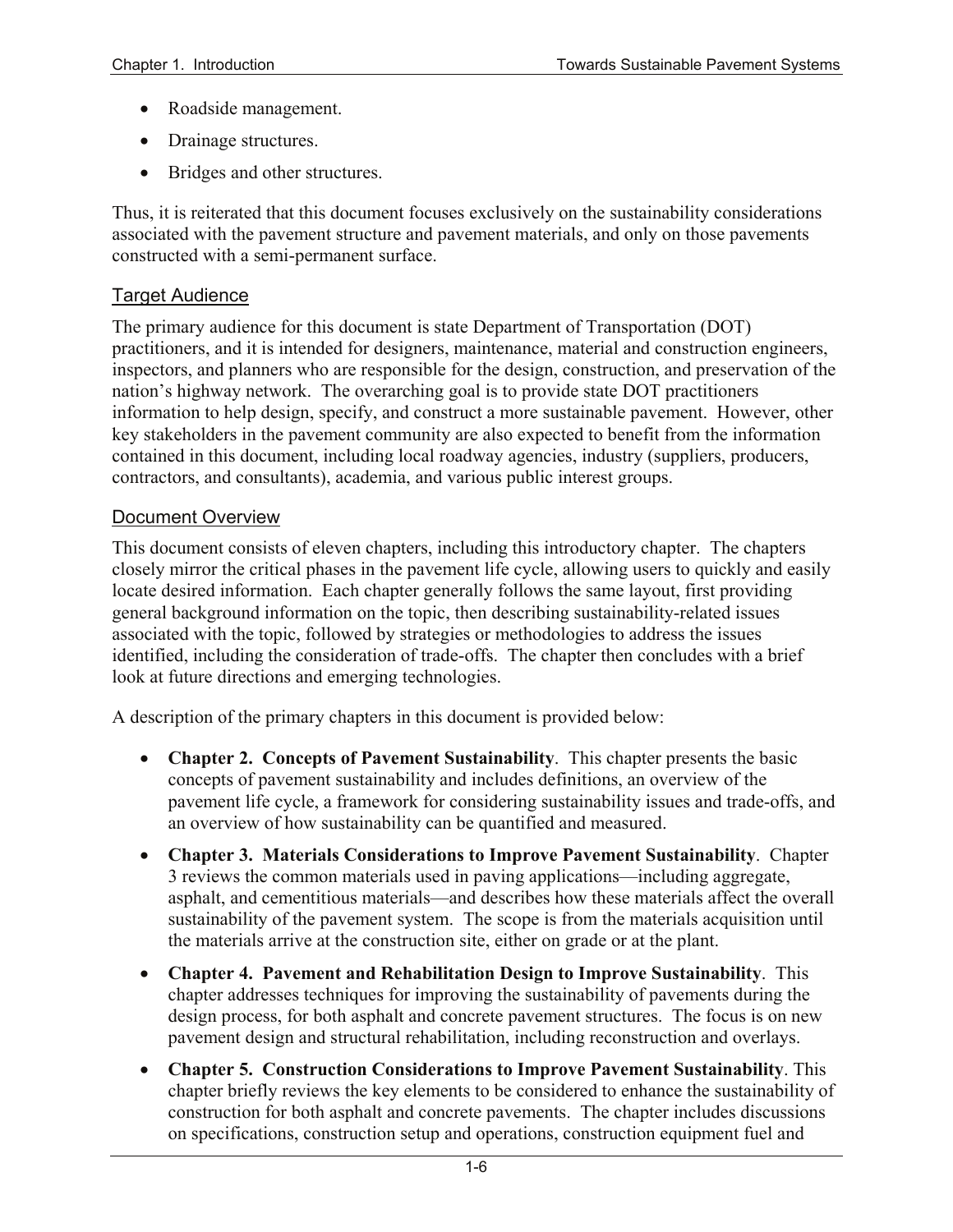- Roadside management.
- Drainage structures.
- Bridges and other structures.

 Thus, it is reiterated that this document focuses exclusively on the sustainability considerations associated with the pavement structure and pavement materials, and only on those pavements constructed with a semi-permanent surface.

#### Target Audience

 The primary audience for this document is state Department of Transportation (DOT) practitioners, and it is intended for designers, maintenance, material and construction engineers, inspectors, and planners who are responsible for the design, construction, and preservation of the nation's highway network. The overarching goal is to provide state DOT practitioners information to help design, specify, and construct a more sustainable pavement. However, other key stakeholders in the pavement community are also expected to benefit from the information contained in this document, including local roadway agencies, industry (suppliers, producers, contractors, and consultants), academia, and various public interest groups.

#### Document Overview

 This document consists of eleven chapters, including this introductory chapter. The chapters locate desired information. Each chapter generally follows the same layout, first providing closely mirror the critical phases in the pavement life cycle, allowing users to quickly and easily general background information on the topic, then describing sustainability-related issues associated with the topic, followed by strategies or methodologies to address the issues identified, including the consideration of trade-offs. The chapter then concludes with a brief look at future directions and emerging technologies.

A description of the primary chapters in this document is provided below:

- • **Chapter 2. Concepts of Pavement Sustainability**. This chapter presents the basic concepts of pavement sustainability and includes definitions, an overview of the pavement life cycle, a framework for considering sustainability issues and trade-offs, and an overview of how sustainability can be quantified and measured.
- • **Chapter 3. Materials Considerations to Improve Pavement Sustainability**. Chapter 3 reviews the common materials used in paving applications—including aggregate, asphalt, and cementitious materials—and describes how these materials affect the overall sustainability of the pavement system. The scope is from the materials acquisition until the materials arrive at the construction site, either on grade or at the plant.
- • **Chapter 4. Pavement and Rehabilitation Design to Improve Sustainability**. This chapter addresses techniques for improving the sustainability of pavements during the design process, for both asphalt and concrete pavement structures. The focus is on new pavement design and structural rehabilitation, including reconstruction and overlays.
- • **Chapter 5. Construction Considerations to Improve Pavement Sustainability**. This chapter briefly reviews the key elements to be considered to enhance the sustainability of construction for both asphalt and concrete pavements. The chapter includes discussions on specifications, construction setup and operations, construction equipment fuel and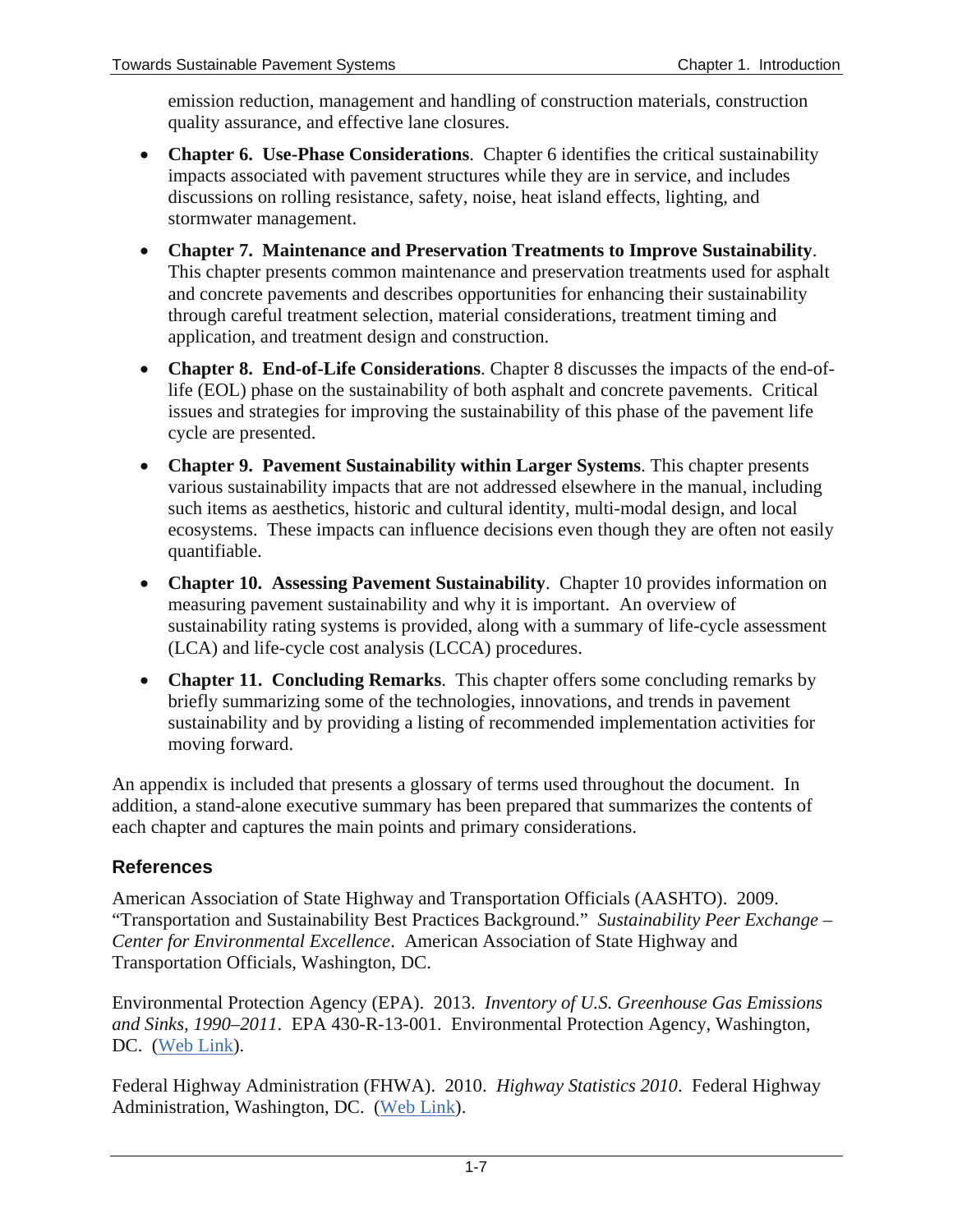emission reduction, management and handling of construction materials, construction quality assurance, and effective lane closures.

- **Chapter 6. Use-Phase Considerations**. Chapter 6 identifies the critical sustainability impacts associated with pavement structures while they are in service, and includes discussions on rolling resistance, safety, noise, heat island effects, lighting, and stormwater management.
- **Chapter 7. Maintenance and Preservation Treatments to Improve Sustainability**. This chapter presents common maintenance and preservation treatments used for asphalt and concrete pavements and describes opportunities for enhancing their sustainability through careful treatment selection, material considerations, treatment timing and application, and treatment design and construction.
- **Chapter 8. End-of-Life Considerations**. Chapter 8 discusses the impacts of the end-oflife (EOL) phase on the sustainability of both asphalt and concrete pavements. Critical issues and strategies for improving the sustainability of this phase of the pavement life cycle are presented.
- **Chapter 9. Pavement Sustainability within Larger Systems**. This chapter presents various sustainability impacts that are not addressed elsewhere in the manual, including such items as aesthetics, historic and cultural identity, multi-modal design, and local ecosystems. These impacts can influence decisions even though they are often not easily quantifiable.
- **Chapter 10. Assessing Pavement Sustainability**. Chapter 10 provides information on measuring pavement sustainability and why it is important. An overview of sustainability rating systems is provided, along with a summary of life-cycle assessment (LCA) and life-cycle cost analysis (LCCA) procedures.
- **Chapter 11. Concluding Remarks**. This chapter offers some concluding remarks by briefly summarizing some of the technologies, innovations, and trends in pavement sustainability and by providing a listing of recommended implementation activities for moving forward.

An appendix is included that presents a glossary of terms used throughout the document. In addition, a stand-alone executive summary has been prepared that summarizes the contents of each chapter and captures the main points and primary considerations.

### **References**

American Association of State Highway and Transportation Officials (AASHTO). 2009. "Transportation and Sustainability Best Practices Background." *Sustainability Peer Exchange – Center for Environmental Excellence*. American Association of State Highway and Transportation Officials, Washington, DC.

Environmental Protection Agency (EPA). 2013. *Inventory of U.S. Greenhouse Gas Emissions and Sinks, 1990–2011*. EPA 430-R-13-001. Environmental Protection Agency, Washington, DC. [\(Web Link\)](http://www.epa.gov/climatechange/Downloads/ghgemissions/US-GHG-Inventory-2013-Main-Text.pdf).

Federal Highway Administration (FHWA). 2010. *Highway Statistics 2010*. Federal Highway Administration, Washington, DC. [\(Web Link\)](https://www.fhwa.dot.gov/policyinformation/statistics/2010/).